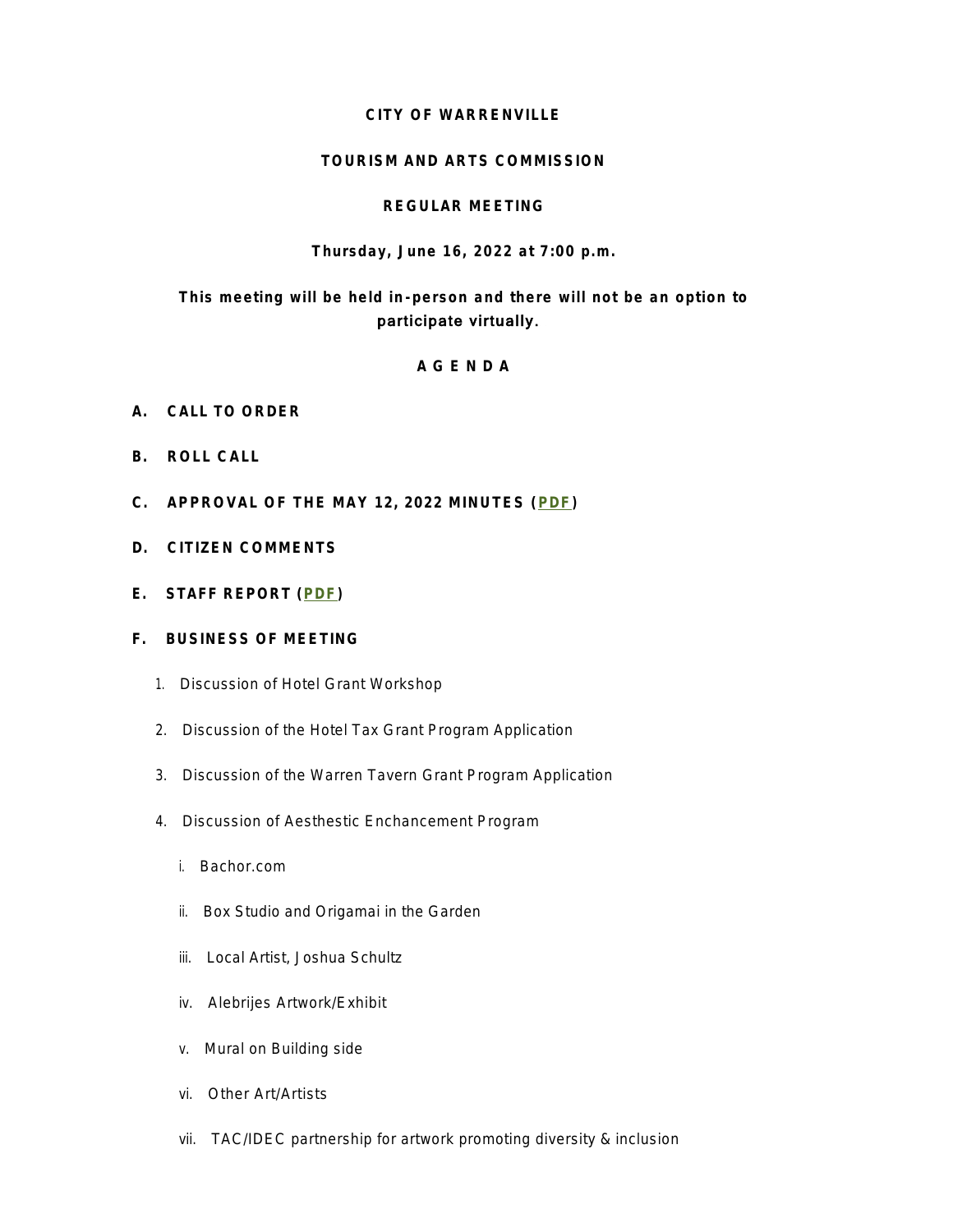### **CITY OF WARRENVILLE**

### **TOURISM AND ARTS COMMISSION**

### **REGULAR MEETING**

### **Thursday, June 16, 2022 at 7:00 p.m.**

# **This meeting will be held in -person and there will not be an option to**  participate virtually.

### **A G E N D A**

- **A. CALL TO ORDER**
- **B. ROLL CALL**
- **C. APPROVAL OF THE MAY 12, 2022 MINUTES ([PDF\)](https://www.warrenville.il.us/DocumentCenter/View/19280)**
- **D. CITIZEN COMMENTS**
- **E. STAFF REPORT ([PDF](https://www.warrenville.il.us/DocumentCenter/View/19274))**

### **F. BUSINESS OF MEETING**

- 1. Discussion of Hotel Grant Workshop
- 2. Discussion of the Hotel Tax Grant Program Application
- 3. Discussion of the Warren Tavern Grant Program Application
- 4. Discussion of Aesthestic Enchancement Program
	- *i. Bachor.com*
	- *ii. Box Studio and Origamai in the Garden*
	- *iii. Local Artist, Joshua Schultz*
	- *iv. Alebrijes Artwork/Exhibit*
	- *v. Mural on Building side*
	- *vi. Other Art/Artists*
	- *vii. TAC/IDEC partnership for artwork promoting diversity & inclusion*